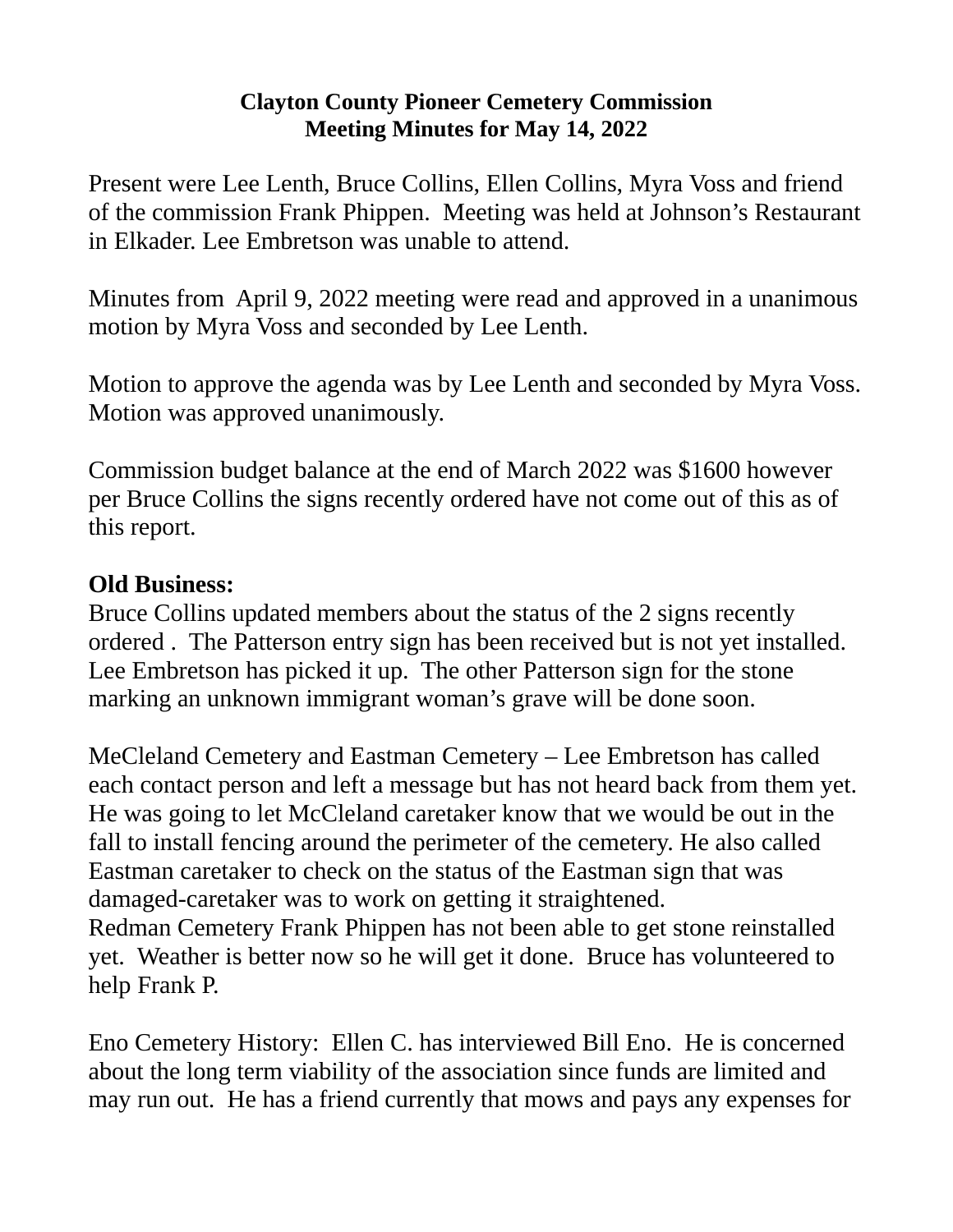## **Clayton County Pioneer Cemetery Commission Meeting Minutes for May 14, 2022**

Present were Lee Lenth, Bruce Collins, Ellen Collins, Myra Voss and friend of the commission Frank Phippen. Meeting was held at Johnson's Restaurant in Elkader. Lee Embretson was unable to attend.

Minutes from April 9, 2022 meeting were read and approved in a unanimous motion by Myra Voss and seconded by Lee Lenth.

Motion to approve the agenda was by Lee Lenth and seconded by Myra Voss. Motion was approved unanimously.

Commission budget balance at the end of March 2022 was \$1600 however per Bruce Collins the signs recently ordered have not come out of this as of this report.

## **Old Business:**

Bruce Collins updated members about the status of the 2 signs recently ordered . The Patterson entry sign has been received but is not yet installed. Lee Embretson has picked it up. The other Patterson sign for the stone marking an unknown immigrant woman's grave will be done soon.

MeCleland Cemetery and Eastman Cemetery – Lee Embretson has called each contact person and left a message but has not heard back from them yet. He was going to let McCleland caretaker know that we would be out in the fall to install fencing around the perimeter of the cemetery. He also called Eastman caretaker to check on the status of the Eastman sign that was damaged-caretaker was to work on getting it straightened. Redman Cemetery Frank Phippen has not been able to get stone reinstalled yet. Weather is better now so he will get it done. Bruce has volunteered to help Frank P.

Eno Cemetery History: Ellen C. has interviewed Bill Eno. He is concerned about the long term viability of the association since funds are limited and may run out. He has a friend currently that mows and pays any expenses for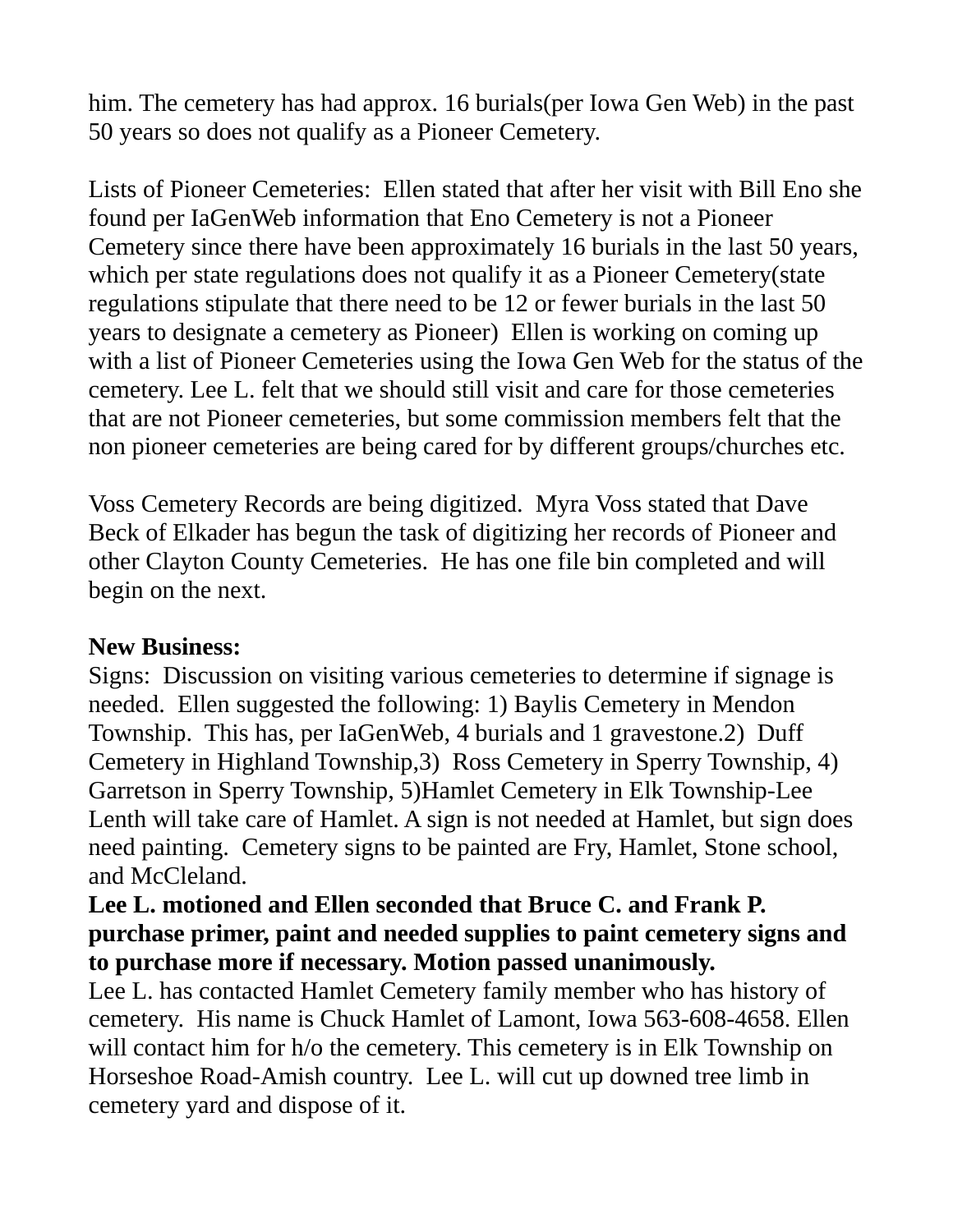him. The cemetery has had approx. 16 burials(per Iowa Gen Web) in the past 50 years so does not qualify as a Pioneer Cemetery.

Lists of Pioneer Cemeteries: Ellen stated that after her visit with Bill Eno she found per IaGenWeb information that Eno Cemetery is not a Pioneer Cemetery since there have been approximately 16 burials in the last 50 years, which per state regulations does not qualify it as a Pioneer Cemetery(state regulations stipulate that there need to be 12 or fewer burials in the last 50 years to designate a cemetery as Pioneer) Ellen is working on coming up with a list of Pioneer Cemeteries using the Iowa Gen Web for the status of the cemetery. Lee L. felt that we should still visit and care for those cemeteries that are not Pioneer cemeteries, but some commission members felt that the non pioneer cemeteries are being cared for by different groups/churches etc.

Voss Cemetery Records are being digitized. Myra Voss stated that Dave Beck of Elkader has begun the task of digitizing her records of Pioneer and other Clayton County Cemeteries. He has one file bin completed and will begin on the next.

## **New Business:**

Signs: Discussion on visiting various cemeteries to determine if signage is needed. Ellen suggested the following: 1) Baylis Cemetery in Mendon Township. This has, per IaGenWeb, 4 burials and 1 gravestone.2) Duff Cemetery in Highland Township,3) Ross Cemetery in Sperry Township, 4) Garretson in Sperry Township, 5)Hamlet Cemetery in Elk Township-Lee Lenth will take care of Hamlet. A sign is not needed at Hamlet, but sign does need painting. Cemetery signs to be painted are Fry, Hamlet, Stone school, and McCleland.

## **Lee L. motioned and Ellen seconded that Bruce C. and Frank P. purchase primer, paint and needed supplies to paint cemetery signs and to purchase more if necessary. Motion passed unanimously.**

Lee L. has contacted Hamlet Cemetery family member who has history of cemetery. His name is Chuck Hamlet of Lamont, Iowa 563-608-4658. Ellen will contact him for h/o the cemetery. This cemetery is in Elk Township on Horseshoe Road-Amish country. Lee L. will cut up downed tree limb in cemetery yard and dispose of it.